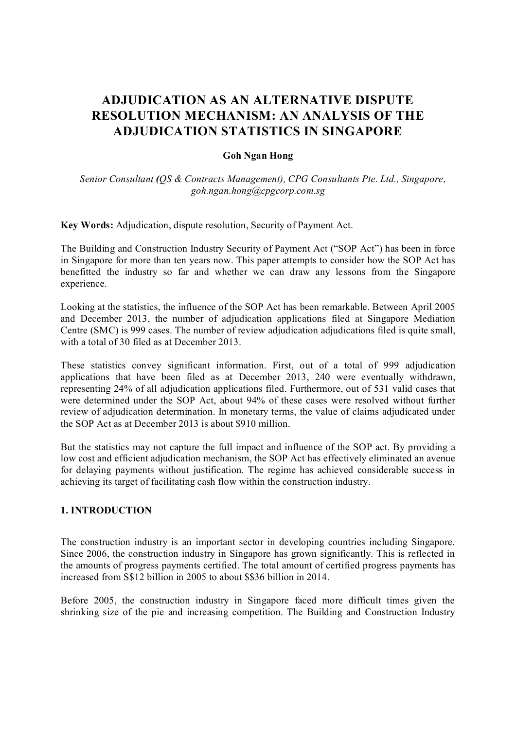# **ADJUDICATION AS AN ALTERNATIVE DISPUTE RESOLUTION MECHANISM: AN ANALYSIS OF THE ADJUDICATION STATISTICS IN SINGAPORE**

## **Goh Ngan Hong**

 *Senior Consultant (QS & Contracts Management), CPG Consultants Pte. Ltd., Singapore, goh.ngan.hong@cpgcorp.com.sg*

**Key Words:** Adjudication, dispute resolution, Security of Payment Act.

The Building and Construction Industry Security of Payment Act ("SOP Act") has been in force in Singapore for more than ten years now. This paper attempts to consider how the SOP Act has benefitted the industry so far and whether we can draw any lessons from the Singapore experience.

Looking at the statistics, the influence of the SOP Act has been remarkable. Between April 2005 and December 2013, the number of adjudication applications filed at Singapore Mediation Centre (SMC) is 999 cases. The number of review adjudication adjudications filed is quite small, with a total of 30 filed as at December 2013.

These statistics convey significant information. First, out of a total of 999 adjudication applications that have been filed as at December 2013, 240 were eventually withdrawn, representing 24% of all adjudication applications filed. Furthermore, out of 531 valid cases that were determined under the SOP Act, about 94% of these cases were resolved without further review of adjudication determination. In monetary terms, the value of claims adjudicated under the SOP Act as at December 2013 is about \$910 million.

But the statistics may not capture the full impact and influence of the SOP act. By providing a low cost and efficient adjudication mechanism, the SOP Act has effectively eliminated an avenue for delaying payments without justification. The regime has achieved considerable success in achieving its target of facilitating cash flow within the construction industry.

## **1. INTRODUCTION**

The construction industry is an important sector in developing countries including Singapore. Since 2006, the construction industry in Singapore has grown significantly. This is reflected in the amounts of progress payments certified. The total amount of certified progress payments has increased from S\$12 billion in 2005 to about \$\$36 billion in 2014.

Before 2005, the construction industry in Singapore faced more difficult times given the shrinking size of the pie and increasing competition. The Building and Construction Industry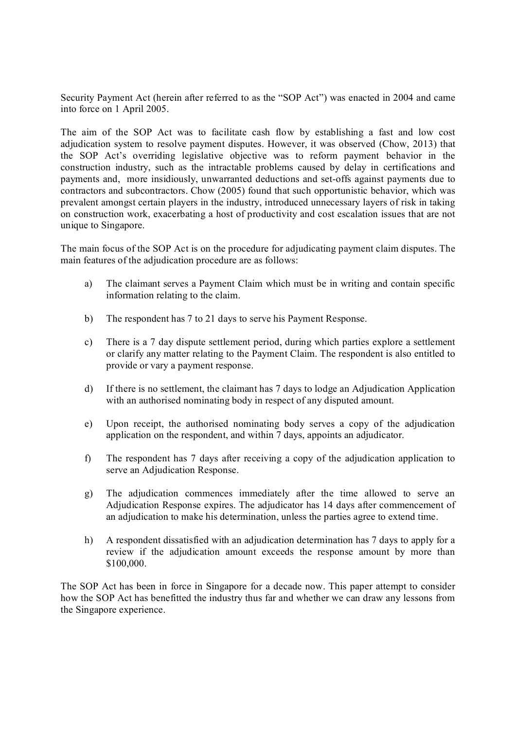Security Payment Act (herein after referred to as the "SOP Act") was enacted in 2004 and came into force on 1 April 2005.

The aim of the SOP Act was to facilitate cash flow by establishing a fast and low cost adjudication system to resolve payment disputes. However, it was observed (Chow, 2013) that the SOP Act's overriding legislative objective was to reform payment behavior in the construction industry, such as the intractable problems caused by delay in certifications and payments and, more insidiously, unwarranted deductions and set-offs against payments due to contractors and subcontractors. Chow (2005) found that such opportunistic behavior, which was prevalent amongst certain players in the industry, introduced unnecessary layers of risk in taking on construction work, exacerbating a host of productivity and cost escalation issues that are not unique to Singapore.

The main focus of the SOP Act is on the procedure for adjudicating payment claim disputes. The main features of the adjudication procedure are as follows:

- a) The claimant serves a Payment Claim which must be in writing and contain specific information relating to the claim.
- b) The respondent has 7 to 21 days to serve his Payment Response.
- c) There is a 7 day dispute settlement period, during which parties explore a settlement or clarify any matter relating to the Payment Claim. The respondent is also entitled to provide or vary a payment response.
- d) If there is no settlement, the claimant has 7 days to lodge an Adjudication Application with an authorised nominating body in respect of any disputed amount.
- e) Upon receipt, the authorised nominating body serves a copy of the adjudication application on the respondent, and within 7 days, appoints an adjudicator.
- f) The respondent has 7 days after receiving a copy of the adjudication application to serve an Adjudication Response.
- g) The adjudication commences immediately after the time allowed to serve an Adjudication Response expires. The adjudicator has 14 days after commencement of an adjudication to make his determination, unless the parties agree to extend time.
- h) A respondent dissatisfied with an adjudication determination has 7 days to apply for a review if the adjudication amount exceeds the response amount by more than \$100,000.

The SOP Act has been in force in Singapore for a decade now. This paper attempt to consider how the SOP Act has benefitted the industry thus far and whether we can draw any lessons from the Singapore experience.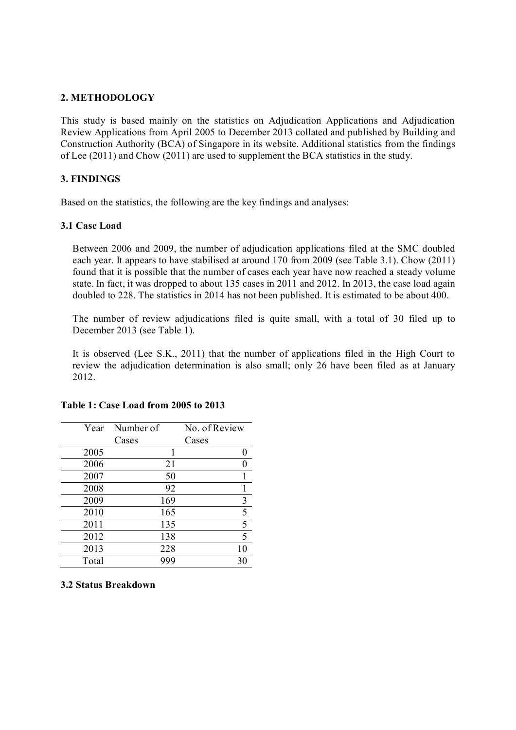## **2. METHODOLOGY**

This study is based mainly on the statistics on Adjudication Applications and Adjudication Review Applications from April 2005 to December 2013 collated and published by Building and Construction Authority (BCA) of Singapore in its website. Additional statistics from the findings of Lee (2011) and Chow (2011) are used to supplement the BCA statistics in the study.

## **3. FINDINGS**

Based on the statistics, the following are the key findings and analyses:

# **3.1 Case Load**

Between 2006 and 2009, the number of adjudication applications filed at the SMC doubled each year. It appears to have stabilised at around 170 from 2009 (see Table 3.1). Chow (2011) found that it is possible that the number of cases each year have now reached a steady volume state. In fact, it was dropped to about 135 cases in 2011 and 2012. In 2013, the case load again doubled to 228. The statistics in 2014 has not been published. It is estimated to be about 400.

The number of review adjudications filed is quite small, with a total of 30 filed up to December 2013 (see Table 1).

It is observed (Lee S.K., 2011) that the number of applications filed in the High Court to review the adjudication determination is also small; only 26 have been filed as at January 2012.

| Year  | Number of | No. of Review |
|-------|-----------|---------------|
|       | Cases     | Cases         |
| 2005  | 1         |               |
| 2006  | 21        |               |
| 2007  | 50        |               |
| 2008  | 92        |               |
| 2009  | 169       | 3             |
| 2010  | 165       | 5             |
| 2011  | 135       | 5             |
| 2012  | 138       | 5             |
| 2013  | 228       | 10            |
| Total | 999       | 30            |

#### **Table 1: Case Load from 2005 to 2013**

#### **3.2 Status Breakdown**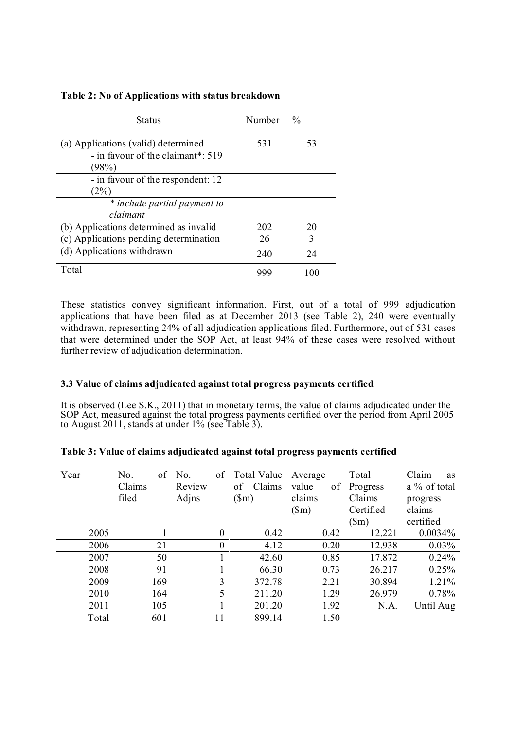| <b>Status</b>                          | Number | $\frac{0}{0}$ |
|----------------------------------------|--------|---------------|
| (a) Applications (valid) determined    | 531    | 53            |
| - in favour of the claimant*: 519      |        |               |
| (98%)                                  |        |               |
| - in favour of the respondent: 12      |        |               |
| (2%)                                   |        |               |
| * include partial payment to           |        |               |
| claimant                               |        |               |
| (b) Applications determined as invalid | 202    | 20            |
| (c) Applications pending determination | 26     | 3             |
| (d) Applications withdrawn             | 240    | 24            |
| Total                                  |        | 100           |

## **Table 2: No of Applications with status breakdown**

These statistics convey significant information. First, out of a total of 999 adjudication applications that have been filed as at December 2013 (see Table 2), 240 were eventually withdrawn, representing 24% of all adjudication applications filed. Furthermore, out of 531 cases that were determined under the SOP Act, at least 94% of these cases were resolved without further review of adjudication determination.

## **3.3 Value of claims adjudicated against total progress payments certified**

It is observed (Lee S.K., 2011) that in monetary terms, the value of claims adjudicated under the SOP Act, measured against the total progress payments certified over the period from April 2005 to August 2011, stands at under 1% (see Table 3).

| Year |       | No.    |     | of No. | of       | Total Value  | Average       | Total           | Claim<br><b>as</b> |
|------|-------|--------|-----|--------|----------|--------------|---------------|-----------------|--------------------|
|      |       | Claims |     | Review |          | Claims<br>of | value<br>οf   | Progress        | a % of total       |
|      |       | filed  |     | Adjns  |          | $(\text{m})$ | claims        | Claims          | progress           |
|      |       |        |     |        |          |              | $(\text{Sm})$ | Certified       | claims             |
|      |       |        |     |        |          |              |               | $(\mathsf{Sm})$ | certified          |
|      | 2005  |        |     |        | $\theta$ | 0.42         | 0.42          | 12.221          | 0.0034%            |
|      | 2006  |        | 21  |        | $\theta$ | 4.12         | 0.20          | 12.938          | $0.03\%$           |
|      | 2007  |        | 50  |        |          | 42.60        | 0.85          | 17.872          | 0.24%              |
|      | 2008  |        | 91  |        |          | 66.30        | 0.73          | 26.217          | 0.25%              |
|      | 2009  |        | 169 |        | 3        | 372.78       | 2.21          | 30.894          | 1.21%              |
|      | 2010  |        | 164 |        | 5        | 211.20       | 1.29          | 26.979          | 0.78%              |
|      | 2011  |        | 105 |        |          | 201.20       | 1.92          | N.A.            | Until Aug          |
|      | Total |        | 601 |        | 11       | 899.14       | 1.50          |                 |                    |

|  |  | Table 3: Value of claims adjudicated against total progress payments certified |
|--|--|--------------------------------------------------------------------------------|
|  |  |                                                                                |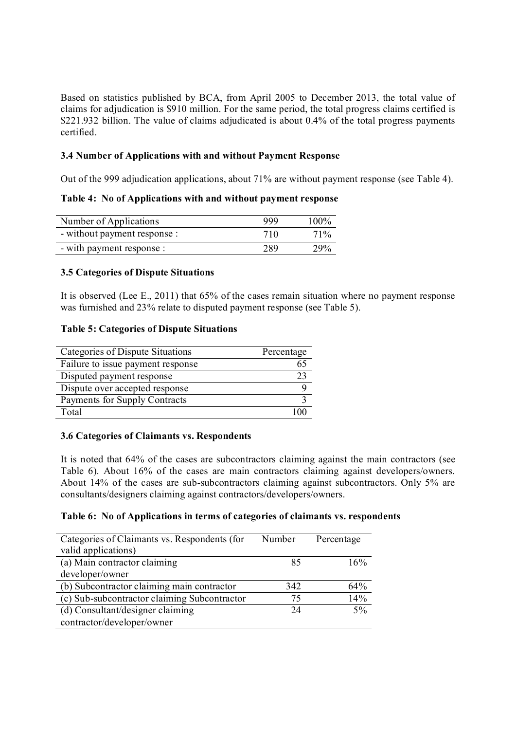Based on statistics published by BCA, from April 2005 to December 2013, the total value of claims for adjudication is \$910 million. For the same period, the total progress claims certified is \$221.932 billion. The value of claims adjudicated is about 0.4% of the total progress payments certified.

# **3.4 Number of Applications with and without Payment Response**

Out of the 999 adjudication applications, about 71% are without payment response (see Table 4).

**Table 4: No of Applications with and without payment response** 

| Number of Applications       | 999 | $100\%$ |
|------------------------------|-----|---------|
| - without payment response : | 710 | $71\%$  |
| - with payment response :    | 289 | 29%     |

## **3.5 Categories of Dispute Situations**

It is observed (Lee E., 2011) that 65% of the cases remain situation where no payment response was furnished and 23% relate to disputed payment response (see Table 5).

#### **Table 5: Categories of Dispute Situations**

| Categories of Dispute Situations  | Percentage |
|-----------------------------------|------------|
| Failure to issue payment response | 65         |
| Disputed payment response         | 23         |
| Dispute over accepted response    |            |
| Payments for Supply Contracts     |            |
| Total                             |            |

## **3.6 Categories of Claimants vs. Respondents**

It is noted that 64% of the cases are subcontractors claiming against the main contractors (see Table 6). About 16% of the cases are main contractors claiming against developers/owners. About 14% of the cases are sub-subcontractors claiming against subcontractors. Only 5% are consultants/designers claiming against contractors/developers/owners.

#### **Table 6: No of Applications in terms of categories of claimants vs. respondents**

| Categories of Claimants vs. Respondents (for | Number | Percentage |
|----------------------------------------------|--------|------------|
| valid applications)                          |        |            |
| (a) Main contractor claiming                 | 85     | 16%        |
| developer/owner                              |        |            |
| (b) Subcontractor claiming main contractor   | 342    | 64%        |
| (c) Sub-subcontractor claiming Subcontractor | 75     | 14%        |
| (d) Consultant/designer claiming             | 24     | $5\%$      |
| contractor/developer/owner                   |        |            |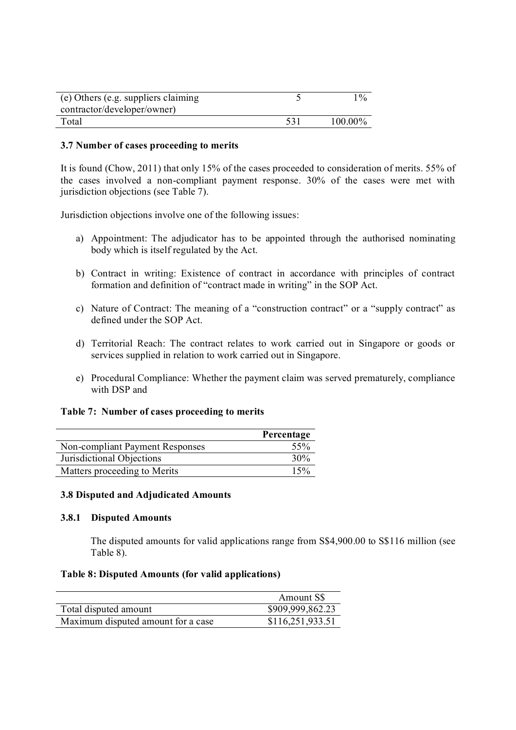| (e) Others (e.g. suppliers claiming<br>contractor/developer/owner) |     | 10/6       |
|--------------------------------------------------------------------|-----|------------|
| Total                                                              | 531 | $100.00\%$ |

#### **3.7 Number of cases proceeding to merits**

It is found (Chow, 2011) that only 15% of the cases proceeded to consideration of merits. 55% of the cases involved a non-compliant payment response. 30% of the cases were met with jurisdiction objections (see Table 7).

Jurisdiction objections involve one of the following issues:

- a) Appointment: The adjudicator has to be appointed through the authorised nominating body which is itself regulated by the Act.
- b) Contract in writing: Existence of contract in accordance with principles of contract formation and definition of "contract made in writing" in the SOP Act.
- c) Nature of Contract: The meaning of a "construction contract" or a "supply contract" as defined under the SOP Act.
- d) Territorial Reach: The contract relates to work carried out in Singapore or goods or services supplied in relation to work carried out in Singapore.
- e) Procedural Compliance: Whether the payment claim was served prematurely, compliance with DSP and

#### **Table 7: Number of cases proceeding to merits**

|                                 | Percentage |
|---------------------------------|------------|
| Non-compliant Payment Responses | 55%        |
| Jurisdictional Objections       | 30%        |
| Matters proceeding to Merits    | 15%        |

#### **3.8 Disputed and Adjudicated Amounts**

#### **3.8.1 Disputed Amounts**

The disputed amounts for valid applications range from S\$4,900.00 to S\$116 million (see Table 8).

#### **Table 8: Disputed Amounts (for valid applications)**

|                                    | Amount SS        |
|------------------------------------|------------------|
| Total disputed amount              | \$909,999,862.23 |
| Maximum disputed amount for a case | \$116,251,933.51 |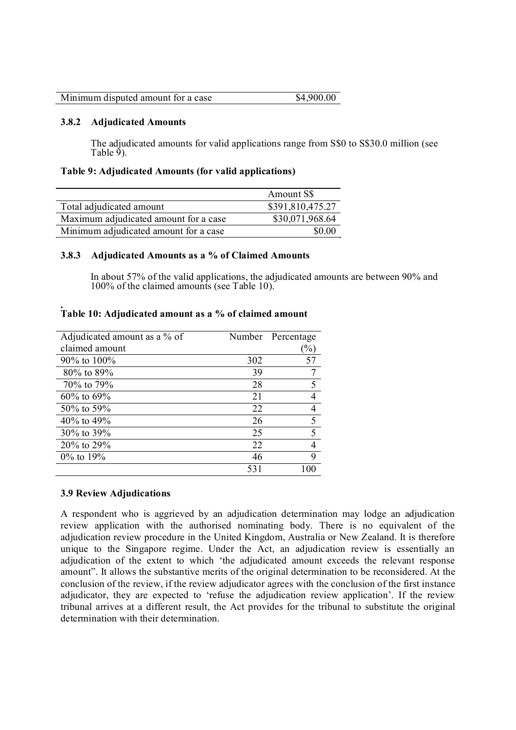| Minimum disputed amount for a case | \$4,900.00 |
|------------------------------------|------------|
|------------------------------------|------------|

#### **3.8.2 Adjudicated Amounts**

The adjudicated amounts for valid applications range from S\$0 to S\$30.0 million (see Table  $\check{9}$ ).

#### **Table 9: Adjudicated Amounts (for valid applications)**

|                                       | Amount S\$       |
|---------------------------------------|------------------|
| Total adjudicated amount              | \$391,810,475.27 |
| Maximum adjudicated amount for a case | \$30,071,968.64  |
| Minimum adjudicated amount for a case | \$0.00           |

#### **3.8.3 Adjudicated Amounts as a % of Claimed Amounts**

In about 57% of the valid applications, the adjudicated amounts are between 90% and 100% of the claimed amounts (see Table 10).

| Adjudicated amount as a % of |     | Number Percentage |
|------------------------------|-----|-------------------|
| claimed amount               |     | $(\%)$            |
| 90\% to $100\%$              | 302 | 57                |
| 80% to 89%                   | 39  |                   |
| 70% to 79%                   | 28  | 5                 |
| $60\%$ to $69\%$             | 21  |                   |
| 50% to 59%                   | 22  |                   |
| 40% to 49%                   | 26  | 5                 |
| 30% to 39%                   | 25  | 5                 |
| 20% to 29%                   | 22  | 4                 |
| $0\%$ to 19%                 | 46  | 9                 |
|                              | 531 |                   |

#### **. Table 10: Adjudicated amount as a % of claimed amount**

#### **3.9 Review Adjudications**

A respondent who is aggrieved by an adjudication determination may lodge an adjudication review application with the authorised nominating body. There is no equivalent of the adjudication review procedure in the United Kingdom, Australia or New Zealand. It is therefore unique to the Singapore regime. Under the Act, an adjudication review is essentially an adjudication of the extent to which 'the adjudicated amount exceeds the relevant response amount". It allows the substantive merits of the original determination to be reconsidered. At the conclusion of the review, if the review adjudicator agrees with the conclusion of the first instance adjudicator, they are expected to 'refuse the adjudication review application'. If the review tribunal arrives at a different result, the Act provides for the tribunal to substitute the original determination with their determination.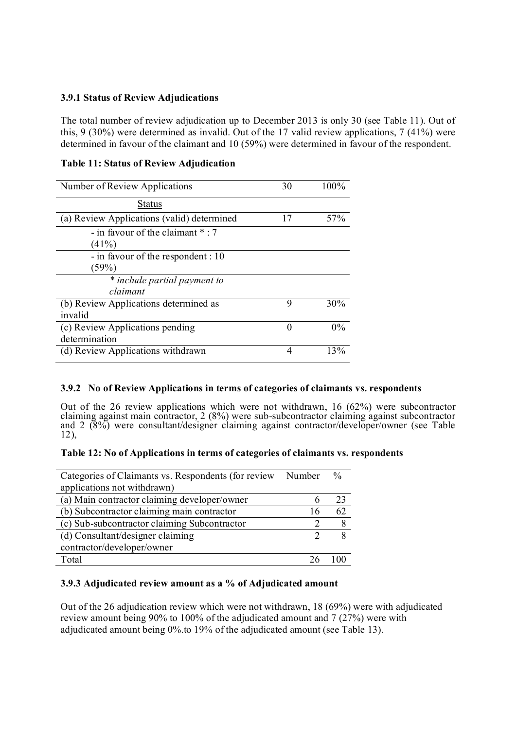## **3.9.1 Status of Review Adjudications**

The total number of review adjudication up to December 2013 is only 30 (see Table 11). Out of this, 9 (30%) were determined as invalid. Out of the 17 valid review applications, 7 (41%) were determined in favour of the claimant and 10 (59%) were determined in favour of the respondent.

## **Table 11: Status of Review Adjudication**

| Number of Review Applications              | 30       | 100%  |
|--------------------------------------------|----------|-------|
| <b>Status</b>                              |          |       |
| (a) Review Applications (valid) determined | 17       | 57%   |
| - in favour of the claimant *: 7<br>(41%)  |          |       |
| - in favour of the respondent : 10         |          |       |
| (59%)                                      |          |       |
| * include partial payment to               |          |       |
| claimant                                   |          |       |
| (b) Review Applications determined as      | 9        | 30%   |
| invalid                                    |          |       |
| (c) Review Applications pending            | $\Omega$ | $0\%$ |
| determination                              |          |       |
| (d) Review Applications withdrawn          | 4        | 13%   |

#### **3.9.2 No of Review Applications in terms of categories of claimants vs. respondents**

Out of the 26 review applications which were not withdrawn, 16 (62%) were subcontractor claiming against main contractor, 2 (8%) were sub-subcontractor claiming against subcontractor and 2 (8%) were consultant/designer claiming against contractor/developer/owner (see Table 12),

#### **Table 12: No of Applications in terms of categories of claimants vs. respondents**

| Categories of Claimants vs. Respondents (for review | Number | $\frac{0}{0}$ |
|-----------------------------------------------------|--------|---------------|
| applications not withdrawn)                         |        |               |
| (a) Main contractor claiming developer/owner        | h      | 23            |
| (b) Subcontractor claiming main contractor          | 16     | 62            |
| (c) Sub-subcontractor claiming Subcontractor        |        |               |
| (d) Consultant/designer claiming                    | ∍      |               |
| contractor/developer/owner                          |        |               |
| Total                                               |        |               |

#### **3.9.3 Adjudicated review amount as a % of Adjudicated amount**

Out of the 26 adjudication review which were not withdrawn, 18 (69%) were with adjudicated review amount being 90% to 100% of the adjudicated amount and 7 (27%) were with adjudicated amount being 0%.to 19% of the adjudicated amount (see Table 13).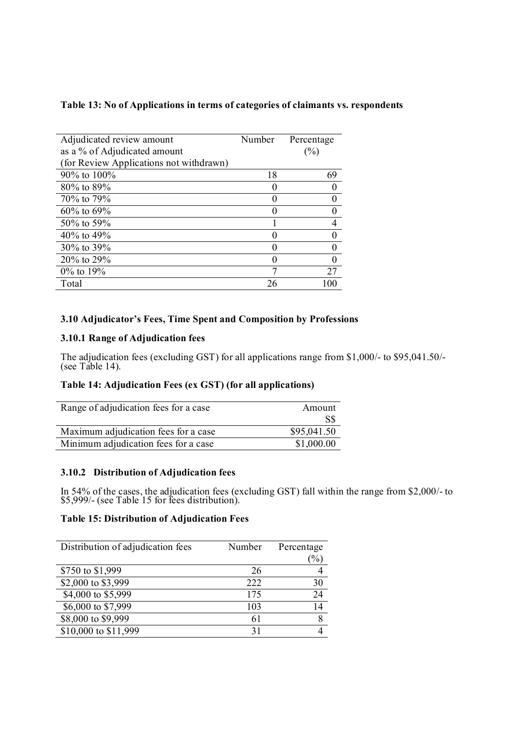## **Table 13: No of Applications in terms of categories of claimants vs. respondents**

| Adjudicated review amount               | Number | Percentage |
|-----------------------------------------|--------|------------|
| as a % of Adjudicated amount            |        | (%)        |
| (for Review Applications not withdrawn) |        |            |
| $90\%$ to $100\%$                       | 18     | 69         |
| 80% to 89%                              |        |            |
| 70% to 79%                              |        |            |
| $60\%$ to $69\%$                        |        |            |
| 50% to 59%                              |        |            |
| 40% to 49%                              |        |            |
| 30% to 39%                              |        |            |
| 20% to 29%                              |        |            |
| 0% to 19%                               |        | 27         |
| Total                                   | 26     |            |

# **3.10 Adjudicator's Fees, Time Spent and Composition by Professions**

# **3.10.1 Range of Adjudication fees**

The adjudication fees (excluding GST) for all applications range from \$1,000/- to \$95,041.50/- (see Table 14).

# **Table 14: Adjudication Fees (ex GST) (for all applications)**

| Range of adjudication fees for a case | Amount      |
|---------------------------------------|-------------|
|                                       | S\$         |
| Maximum adjudication fees for a case  | \$95,041.50 |
| Minimum adjudication fees for a case  | \$1,000.00  |

## **3.10.2 Distribution of Adjudication fees**

In 54% of the cases, the adjudication fees (excluding GST) fall within the range from \$2,000/- to \$5,999/- (see Table 15 for fees distribution).

# **Table 15: Distribution of Adjudication Fees**

| Distribution of adjudication fees | Number | Percentage<br>$\frac{1}{2}$ |
|-----------------------------------|--------|-----------------------------|
| \$750 to \$1,999                  | 26     |                             |
| \$2,000 to \$3,999                | 222    | 30                          |
| \$4,000 to \$5,999                | 175    | 24                          |
| \$6,000 to \$7,999                | 103    | 14                          |
| \$8,000 to \$9,999                | 61     | 8                           |
| \$10,000 to \$11,999              | 31     |                             |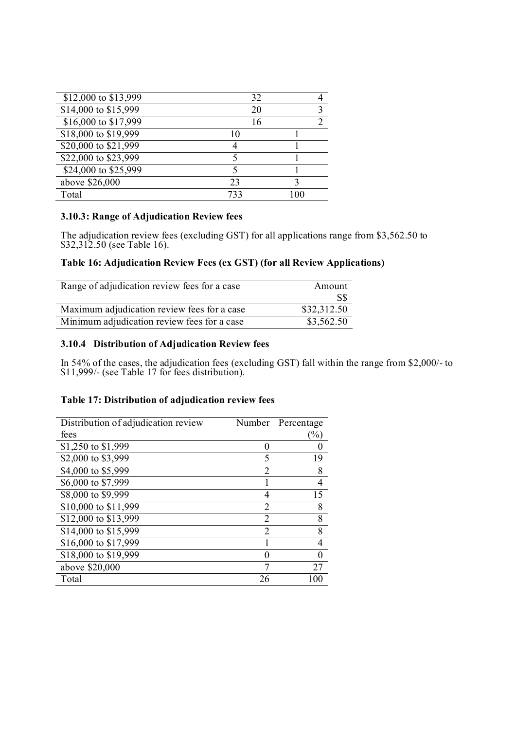| \$12,000 to \$13,999 | 32  |  |
|----------------------|-----|--|
| \$14,000 to \$15,999 | 20  |  |
| \$16,000 to \$17,999 | 16  |  |
| \$18,000 to \$19,999 |     |  |
| \$20,000 to \$21,999 |     |  |
| \$22,000 to \$23,999 |     |  |
| \$24,000 to \$25,999 |     |  |
| above \$26,000       | 23  |  |
| Total                | 733 |  |

## **3.10.3: Range of Adjudication Review fees**

The adjudication review fees (excluding GST) for all applications range from \$3,562.50 to \$32,312.50 (see Table 16).

# **Table 16: Adjudication Review Fees (ex GST) (for all Review Applications)**

| Range of adjudication review fees for a case | Amount      |
|----------------------------------------------|-------------|
|                                              | S\$         |
| Maximum adjudication review fees for a case  | \$32,312.50 |
| Minimum adjudication review fees for a case  | \$3,562.50  |

## **3.10.4 Distribution of Adjudication Review fees**

In 54% of the cases, the adjudication fees (excluding GST) fall within the range from \$2,000/- to \$11,999/- (see Table 17 for fees distribution).

#### **Table 17: Distribution of adjudication review fees**

| Distribution of adjudication review |                | Number Percentage |
|-------------------------------------|----------------|-------------------|
| fees                                |                | $\frac{9}{0}$     |
| \$1,250 to \$1,999                  |                |                   |
| \$2,000 to \$3,999                  | 5              | 19                |
| \$4,000 to \$5,999                  | 2              | 8                 |
| \$6,000 to \$7,999                  |                | 4                 |
| \$8,000 to \$9,999                  | 4              | 15                |
| \$10,000 to \$11,999                | $\overline{2}$ | 8                 |
| \$12,000 to \$13,999                | $\overline{2}$ | 8                 |
| \$14,000 to \$15,999                | $\overline{2}$ | 8                 |
| \$16,000 to \$17,999                |                |                   |
| \$18,000 to \$19,999                |                |                   |
| above \$20,000                      |                | 27                |
| Total                               | 26             |                   |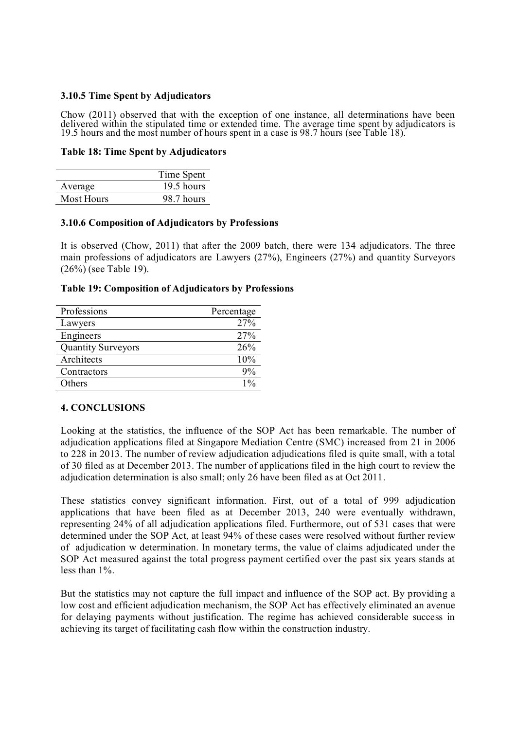## **3.10.5 Time Spent by Adjudicators**

Chow (2011) observed that with the exception of one instance, all determinations have been delivered within the stipulated time or extended time. The average time spent by adjudicators is 19.5 hours and the most number of hours spent in a case is 98.7 hours (see Table 18).

#### **Table 18: Time Spent by Adjudicators**

|                   | Time Spent |
|-------------------|------------|
| Average           | 19.5 hours |
| <b>Most Hours</b> | 98.7 hours |

#### **3.10.6 Composition of Adjudicators by Professions**

It is observed (Chow, 2011) that after the 2009 batch, there were 134 adjudicators. The three main professions of adjudicators are Lawyers (27%), Engineers (27%) and quantity Surveyors (26%) (see Table 19).

#### **Table 19: Composition of Adjudicators by Professions**

| Professions               | Percentage      |
|---------------------------|-----------------|
| Lawyers                   | 27%             |
| Engineers                 | 27%             |
| <b>Quantity Surveyors</b> | 26%             |
| Architects                | 10%             |
| Contractors               | 9%              |
| Others                    | 10 <sub>c</sub> |

## **4. CONCLUSIONS**

Looking at the statistics, the influence of the SOP Act has been remarkable. The number of adjudication applications filed at Singapore Mediation Centre (SMC) increased from 21 in 2006 to 228 in 2013. The number of review adjudication adjudications filed is quite small, with a total of 30 filed as at December 2013. The number of applications filed in the high court to review the adjudication determination is also small; only 26 have been filed as at Oct 2011.

These statistics convey significant information. First, out of a total of 999 adjudication applications that have been filed as at December 2013, 240 were eventually withdrawn, representing 24% of all adjudication applications filed. Furthermore, out of 531 cases that were determined under the SOP Act, at least 94% of these cases were resolved without further review of adjudication w determination. In monetary terms, the value of claims adjudicated under the SOP Act measured against the total progress payment certified over the past six years stands at less than 1%.

But the statistics may not capture the full impact and influence of the SOP act. By providing a low cost and efficient adjudication mechanism, the SOP Act has effectively eliminated an avenue for delaying payments without justification. The regime has achieved considerable success in achieving its target of facilitating cash flow within the construction industry.